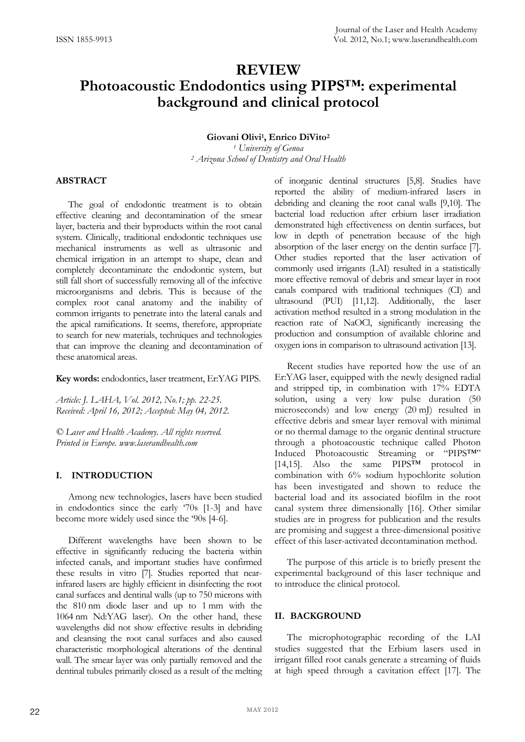# **REVIEW Photoacoustic Endodontics using PIPS™: experimental background and clinical protocol**

## **Giovani Olivi1, Enrico DiVito2**

*1 University of Genoa 2 Arizona School of Dentistry and Oral Health* 

## **ABSTRACT**

The goal of endodontic treatment is to obtain effective cleaning and decontamination of the smear layer, bacteria and their byproducts within the root canal system. Clinically, traditional endodontic techniques use mechanical instruments as well as ultrasonic and chemical irrigation in an attempt to shape, clean and completely decontaminate the endodontic system, but still fall short of successfully removing all of the infective microorganisms and debris. This is because of the complex root canal anatomy and the inability of common irrigants to penetrate into the lateral canals and the apical ramifications. It seems, therefore, appropriate to search for new materials, techniques and technologies that can improve the cleaning and decontamination of these anatomical areas.

**Key words:** endodontics, laser treatment, Er:YAG PIPS.

*Article: J. LAHA, Vol. 2012, No.1; pp. 22-25. Received: April 16, 2012; Accepted: May 04, 2012.* 

*© Laser and Health Academy. All rights reserved. Printed in Europe. www.laserandhealth.com* 

# **I. INTRODUCTION**

Among new technologies, lasers have been studied in endodontics since the early '70s [1-3] and have become more widely used since the '90s [4-6].

Different wavelengths have been shown to be effective in significantly reducing the bacteria within infected canals, and important studies have confirmed these results in vitro [7]. Studies reported that nearinfrared lasers are highly efficient in disinfecting the root canal surfaces and dentinal walls (up to 750 microns with the 810 nm diode laser and up to 1 mm with the 1064 nm Nd:YAG laser). On the other hand, these wavelengths did not show effective results in debriding and cleansing the root canal surfaces and also caused characteristic morphological alterations of the dentinal wall. The smear layer was only partially removed and the dentinal tubules primarily closed as a result of the melting of inorganic dentinal structures [5,8]. Studies have reported the ability of medium-infrared lasers in debriding and cleaning the root canal walls [9,10]. The bacterial load reduction after erbium laser irradiation demonstrated high effectiveness on dentin surfaces, but low in depth of penetration because of the high absorption of the laser energy on the dentin surface [7]. Other studies reported that the laser activation of commonly used irrigants (LAI) resulted in a statistically more effective removal of debris and smear layer in root canals compared with traditional techniques (CI) and ultrasound (PUI) [11,12]. Additionally, the laser activation method resulted in a strong modulation in the reaction rate of NaOCl, significantly increasing the production and consumption of available chlorine and oxygen ions in comparison to ultrasound activation [13].

Recent studies have reported how the use of an Er:YAG laser, equipped with the newly designed radial and stripped tip, in combination with 17% EDTA solution, using a very low pulse duration (50 microseconds) and low energy (20 mJ) resulted in effective debris and smear layer removal with minimal or no thermal damage to the organic dentinal structure through a photoacoustic technique called Photon Induced Photoacoustic Streaming or "PIPS™" [14,15]. Also the same PIPS™ protocol in combination with 6% sodium hypochlorite solution has been investigated and shown to reduce the bacterial load and its associated biofilm in the root canal system three dimensionally [16]. Other similar studies are in progress for publication and the results are promising and suggest a three-dimensional positive effect of this laser-activated decontamination method.

The purpose of this article is to briefly present the experimental background of this laser technique and to introduce the clinical protocol.

## **II. BACKGROUND**

The microphotographic recording of the LAI studies suggested that the Erbium lasers used in irrigant filled root canals generate a streaming of fluids at high speed through a cavitation effect [17]. The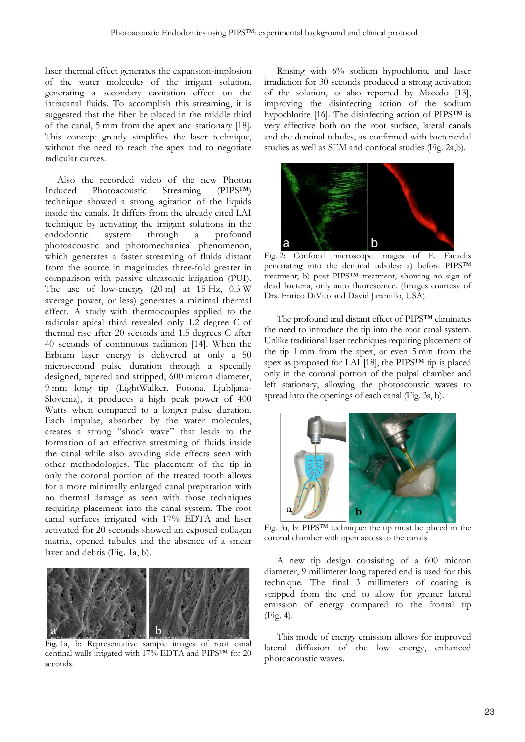laser thermal effect generates the expansion-implosion of the water molecules of the irrigant solution, generating a secondary cavitation effect on the intracanal fluids. To accomplish this streaming, it is suggested that the fiber be placed in the middle third of the canal, 5 mm from the apex and stationary [18]. This concept greatly simplifies the laser technique, without the need to reach the apex and to negotiate radicular curves.

Also the recorded video of the new Photon Induced Photoacoustic Streaming (PIPS™) technique showed a strong agitation of the liquids inside the canals. It differs from the already cited LAI technique by activating the irrigant solutions in the endodontic system through a profound photoacoustic and photomechanical phenomenon, which generates a faster streaming of fluids distant from the source in magnitudes three-fold greater in comparison with passive ultrasonic irrigation (PUI). The use of low-energy  $(20 \text{ m})$  at  $15 \text{ Hz}$ ,  $0.3 \text{ W}$ average power, or less) generates a minimal thermal effect. A study with thermocouples applied to the radicular apical third revealed only 1.2 degree C of thermal rise after 20 seconds and 1.5 degrees C after 40 seconds of continuous radiation [14]. When the Erbium laser energy is delivered at only a 50 microsecond pulse duration through a specially designed, tapered and stripped, 600 micron diameter, 9 mm long tip (LightWalker, Fotona, Ljubljana-Slovenia), it produces a high peak power of 400 Watts when compared to a longer pulse duration. Each impulse, absorbed by the water molecules, creates a strong "shock wave" that leads to the formation of an effective streaming of fluids inside the canal while also avoiding side effects seen with other methodologies. The placement of the tip in only the coronal portion of the treated tooth allows for a more minimally enlarged canal preparation with no thermal damage as seen with those techniques requiring placement into the canal system. The root canal surfaces irrigated with 17% EDTA and laser activated for 20 seconds showed an exposed collagen matrix, opened tubules and the absence of a smear layer and debris (Fig. 1a, b).



 Fig. 1a, b: Representative sample images of root canal dentinal walls irrigated with 17% EDTA and PIPS™ for 20 **a** seconds.

Rinsing with 6% sodium hypochlorite and laser irradiation for 30 seconds produced a strong activation of the solution, as also reported by Macedo [13], improving the disinfecting action of the sodium hypochlorite [16]. The disinfecting action of PIPS™ is very effective both on the root surface, lateral canals and the dentinal tubules, as confirmed with bactericidal studies as well as SEM and confocal studies (Fig. 2a,b).



Fig. 2: Confocal microscope images of E. Facaelis penetrating into the dentinal tubules: a) before PIPS™ treatment; b) post PIPS™ treatment, showing no sign of dead bacteria, only auto fluorescence. (Images courtesy of Drs. Enrico DiVito and David Jaramillo, USA).

The profound and distant effect of PIPS™ eliminates the need to introduce the tip into the root canal system. Unlike traditional laser techniques requiring placement of the tip 1 mm from the apex, or even 5 mm from the apex as proposed for LAI [18], the PIPS™ tip is placed only in the coronal portion of the pulpal chamber and left stationary, allowing the photoacoustic waves to spread into the openings of each canal (Fig. 3a, b).



 Fig. 3a, b: PIPS™ technique: the tip must be placed in the coronal chamber with open access to the canals

A new tip design consisting of a 600 micron diameter, 9 millimeter long tapered end is used for this technique. The final 3 millimeters of coating is stripped from the end to allow for greater lateral emission of energy compared to the frontal tip (Fig. 4).

This mode of energy emission allows for improved lateral diffusion of the low energy, enhanced photoacoustic waves.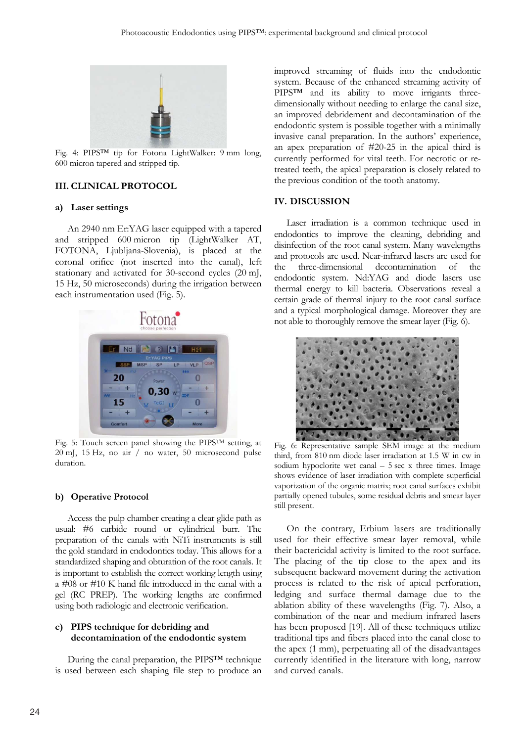

Fig. 4: PIPS™ tip for Fotona LightWalker: 9 mm long, 600 micron tapered and stripped tip.

# **III. CLINICAL PROTOCOL**

#### **a) Laser settings**

An 2940 nm Er:YAG laser equipped with a tapered and stripped 600 micron tip (LightWalker AT, FOTONA, Ljubljana-Slovenia), is placed at the coronal orifice (not inserted into the canal), left stationary and activated for 30-second cycles (20 mJ, 15 Hz, 50 microseconds) during the irrigation between each instrumentation used (Fig. 5).



 Fig. 5: Touch screen panel showing the PIPSTM setting, at 20 mJ, 15 Hz, no air / no water, 50 microsecond pulse duration.

## **b) Operative Protocol**

Access the pulp chamber creating a clear glide path as usual: #6 carbide round or cylindrical burr. The preparation of the canals with NiTi instruments is still the gold standard in endodontics today. This allows for a standardized shaping and obturation of the root canals. It is important to establish the correct working length using a #08 or #10 K hand file introduced in the canal with a gel (RC PREP). The working lengths are confirmed using both radiologic and electronic verification.

## **c) PIPS technique for debriding and decontamination of the endodontic system**

During the canal preparation, the PIPS™ technique is used between each shaping file step to produce an improved streaming of fluids into the endodontic system. Because of the enhanced streaming activity of PIPS<sup>TM</sup> and its ability to move irrigants threedimensionally without needing to enlarge the canal size. an improved debridement and decontamination of the endodontic system is possible together with a minimally invasive canal preparation. In the authors' experience, an apex preparation of #20-25 in the apical third is currently performed for vital teeth. For necrotic or retreated teeth, the apical preparation is closely related to the previous condition of the tooth anatomy.

#### **IV. DISCUSSION**

Laser irradiation is a common technique used in endodontics to improve the cleaning, debriding and disinfection of the root canal system. Many wavelengths and protocols are used. Near-infrared lasers are used for the three-dimensional decontamination of the endodontic system. Nd:YAG and diode lasers use thermal energy to kill bacteria. Observations reveal a certain grade of thermal injury to the root canal surface and a typical morphological damage. Moreover they are not able to thoroughly remove the smear layer (Fig. 6).



Fig. 6: Representative sample SEM image at the medium third, from 810 nm diode laser irradiation at 1.5 W in cw in sodium hypoclorite wet canal – 5 sec x three times. Image shows evidence of laser irradiation with complete superficial vaporization of the organic matrix; root canal surfaces exhibit partially opened tubules, some residual debris and smear layer still present.

On the contrary, Erbium lasers are traditionally used for their effective smear layer removal, while their bactericidal activity is limited to the root surface. The placing of the tip close to the apex and its subsequent backward movement during the activation process is related to the risk of apical perforation, ledging and surface thermal damage due to the ablation ability of these wavelengths (Fig. 7). Also, a combination of the near and medium infrared lasers has been proposed [19]. All of these techniques utilize traditional tips and fibers placed into the canal close to the apex (1 mm), perpetuating all of the disadvantages currently identified in the literature with long, narrow and curved canals.